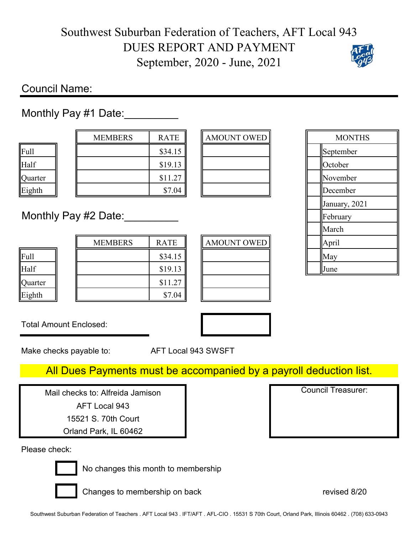## Southwest Suburban Federation of Teachers, AFT Local 943 DUES REPORT AND PAYMENT September, 2020 - June, 2021

## Council Name:

Monthly Pay #1 Date:

| .<br>------- |     |   |                           |  |
|--------------|-----|---|---------------------------|--|
|              |     |   |                           |  |
|              |     |   |                           |  |
| . .          | . . | - | $\mathbf{u}$ $\mathbf{v}$ |  |

|         | <b>MEMBERS</b> | <b>RATE</b> | AMOUNT OWED |  | Apri |
|---------|----------------|-------------|-------------|--|------|
| Full    |                | \$34.15     |             |  | May  |
| Half    |                | \$19.13     |             |  | June |
| Quarter |                | \$11.27     |             |  |      |
| Eighth  |                | \$7.04      |             |  |      |

| RATE    | <b>AMOUNT OWED</b> |  | pril |
|---------|--------------------|--|------|
| \$34.15 |                    |  | May  |
| \$19.13 |                    |  | June |
| \$11.27 |                    |  |      |
| \$7.04  |                    |  |      |

|         | <b>MEMBERS</b>       | <b>RATE</b> | <b>AMOUNT OWED</b> |  | <b>MONTHS</b> |  |
|---------|----------------------|-------------|--------------------|--|---------------|--|
| Full    |                      | \$34.15     |                    |  | September     |  |
| Half    |                      | \$19.13     |                    |  | October       |  |
| Quarter |                      | \$11.27     |                    |  | November      |  |
| Eighth  |                      | \$7.04      |                    |  | December      |  |
|         |                      |             |                    |  | January, 2021 |  |
|         | Monthly Pay #2 Date: |             |                    |  | February      |  |
|         |                      |             |                    |  | March         |  |
|         | <b>MEMBERS</b>       | RATE        | <b>AMOUNT OWED</b> |  | April         |  |
| Full    |                      | \$34.15     |                    |  | May           |  |
| Half    |                      | \$19.13     |                    |  | June          |  |
|         |                      |             |                    |  |               |  |

Total Amount Enclosed:

Make checks payable to: AFT Local 943 SWSFT

## All Dues Payments must be accompanied by a payroll deduction list.

Mail checks to: Alfreida Jamison AFT Local 943

15521 S. 70th Court

Orland Park, IL 60462

Please check:



No changes this month to membership

Changes to membership on back revised 8/20

Council Treasurer: